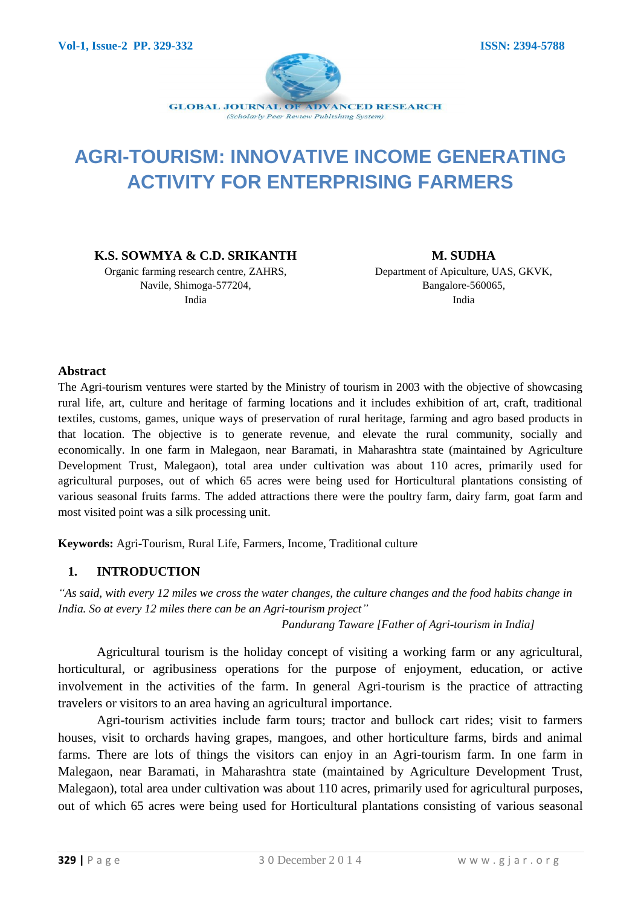

# **AGRI-TOURISM: INNOVATIVE INCOME GENERATING ACTIVITY FOR ENTERPRISING FARMERS**

**K.S. SOWMYA & C.D. SRIKANTH**

Organic farming research centre, ZAHRS, Navile, Shimoga-577204, India

**M. SUDHA** Department of Apiculture, UAS, GKVK, Bangalore-560065, India

#### **Abstract**

The Agri-tourism ventures were started by the Ministry of tourism in 2003 with the objective of showcasing rural life, art, culture and heritage of farming locations and it includes exhibition of art, craft, traditional textiles, customs, games, unique ways of preservation of rural heritage, farming and agro based products in that location. The objective is to generate revenue, and elevate the rural community, socially and economically. In one farm in Malegaon, near Baramati, in Maharashtra state (maintained by Agriculture Development Trust, Malegaon), total area under cultivation was about 110 acres, primarily used for agricultural purposes, out of which 65 acres were being used for Horticultural plantations consisting of various seasonal fruits farms. The added attractions there were the poultry farm, dairy farm, goat farm and most visited point was a silk processing unit.

**Keywords:** Agri-Tourism, Rural Life, Farmers, Income, Traditional culture

#### **1. INTRODUCTION**

*"As said, with every 12 miles we cross the water changes, the culture changes and the food habits change in India. So at every 12 miles there can be an Agri-tourism project"*

 *Pandurang Taware [Father of Agri-tourism in India]*

Agricultural tourism is the holiday concept of visiting a working farm or any agricultural, horticultural, or agribusiness operations for the purpose of enjoyment, education, or active involvement in the activities of the farm. In general Agri-tourism is the practice of attracting travelers or visitors to an area having an agricultural importance.

Agri-tourism activities include farm tours; tractor and bullock cart rides; visit to farmers houses, visit to orchards having grapes, mangoes, and other horticulture farms, birds and animal farms. There are lots of things the visitors can enjoy in an Agri-tourism farm. In one farm in Malegaon, near Baramati, in Maharashtra state (maintained by Agriculture Development Trust, Malegaon), total area under cultivation was about 110 acres, primarily used for agricultural purposes, out of which 65 acres were being used for Horticultural plantations consisting of various seasonal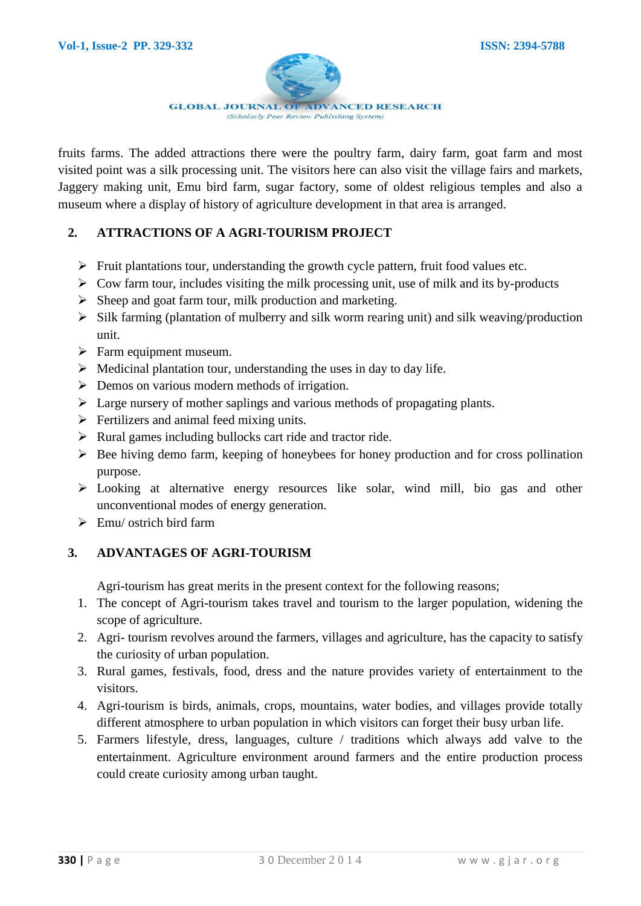

fruits farms. The added attractions there were the poultry farm, dairy farm, goat farm and most visited point was a silk processing unit. The visitors here can also visit the village fairs and markets, Jaggery making unit, Emu bird farm, sugar factory, some of oldest religious temples and also a museum where a display of history of agriculture development in that area is arranged.

## **2. ATTRACTIONS OF A AGRI-TOURISM PROJECT**

- $\triangleright$  Fruit plantations tour, understanding the growth cycle pattern, fruit food values etc.
- $\triangleright$  Cow farm tour, includes visiting the milk processing unit, use of milk and its by-products
- $\triangleright$  Sheep and goat farm tour, milk production and marketing.
- $\triangleright$  Silk farming (plantation of mulberry and silk worm rearing unit) and silk weaving/production unit.
- $\triangleright$  Farm equipment museum.
- $\triangleright$  Medicinal plantation tour, understanding the uses in day to day life.
- $\triangleright$  Demos on various modern methods of irrigation.
- $\triangleright$  Large nursery of mother saplings and various methods of propagating plants.
- $\triangleright$  Fertilizers and animal feed mixing units.
- $\triangleright$  Rural games including bullocks cart ride and tractor ride.
- $\triangleright$  Bee hiving demo farm, keeping of honeybees for honey production and for cross pollination purpose.
- Looking at alternative energy resources like solar, wind mill, bio gas and other unconventional modes of energy generation.
- $\triangleright$  Emu/ ostrich bird farm

## **3. ADVANTAGES OF AGRI-TOURISM**

Agri-tourism has great merits in the present context for the following reasons;

- 1. The concept of Agri-tourism takes travel and tourism to the larger population, widening the scope of agriculture.
- 2. Agri- tourism revolves around the farmers, villages and agriculture, has the capacity to satisfy the curiosity of urban population.
- 3. Rural games, festivals, food, dress and the nature provides variety of entertainment to the visitors.
- 4. Agri-tourism is birds, animals, crops, mountains, water bodies, and villages provide totally different atmosphere to urban population in which visitors can forget their busy urban life.
- 5. Farmers lifestyle, dress, languages, culture / traditions which always add valve to the entertainment. Agriculture environment around farmers and the entire production process could create curiosity among urban taught.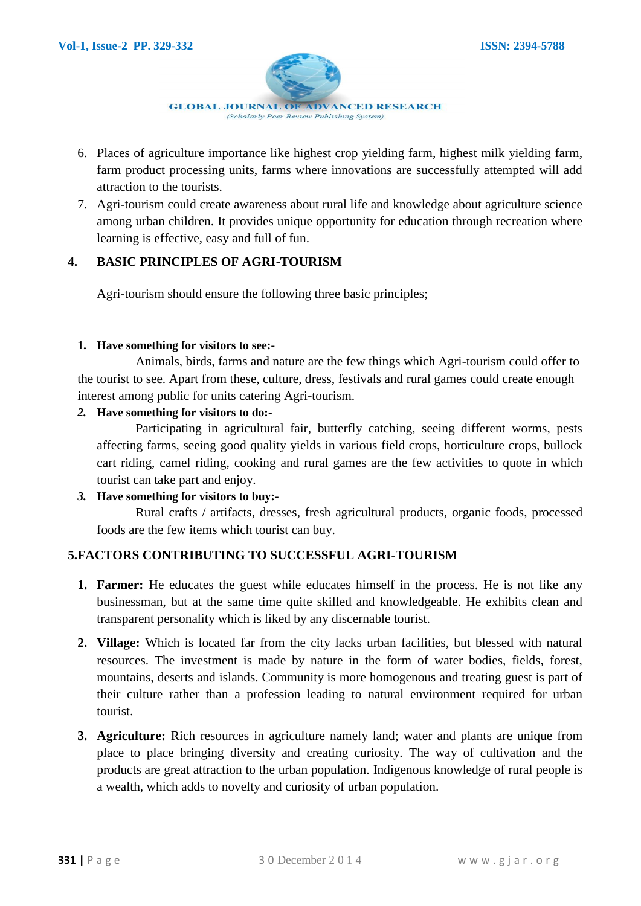

- 6. Places of agriculture importance like highest crop yielding farm, highest milk yielding farm, farm product processing units, farms where innovations are successfully attempted will add attraction to the tourists.
- 7. Agri-tourism could create awareness about rural life and knowledge about agriculture science among urban children. It provides unique opportunity for education through recreation where learning is effective, easy and full of fun.

## **4. BASIC PRINCIPLES OF AGRI-TOURISM**

Agri-tourism should ensure the following three basic principles;

#### **1. Have something for visitors to see:-**

Animals, birds, farms and nature are the few things which Agri-tourism could offer to the tourist to see. Apart from these, culture, dress, festivals and rural games could create enough interest among public for units catering Agri-tourism.

#### *2.* **Have something for visitors to do:-**

Participating in agricultural fair, butterfly catching, seeing different worms, pests affecting farms, seeing good quality yields in various field crops, horticulture crops, bullock cart riding, camel riding, cooking and rural games are the few activities to quote in which tourist can take part and enjoy.

#### *3.* **Have something for visitors to buy:-**

Rural crafts / artifacts, dresses, fresh agricultural products, organic foods, processed foods are the few items which tourist can buy.

## **5.FACTORS CONTRIBUTING TO SUCCESSFUL AGRI-TOURISM**

- **1. Farmer:** He educates the guest while educates himself in the process. He is not like any businessman, but at the same time quite skilled and knowledgeable. He exhibits clean and transparent personality which is liked by any discernable tourist.
- **2. Village:** Which is located far from the city lacks urban facilities, but blessed with natural resources. The investment is made by nature in the form of water bodies, fields, forest, mountains, deserts and islands. Community is more homogenous and treating guest is part of their culture rather than a profession leading to natural environment required for urban tourist.
- **3. Agriculture:** Rich resources in agriculture namely land; water and plants are unique from place to place bringing diversity and creating curiosity. The way of cultivation and the products are great attraction to the urban population. Indigenous knowledge of rural people is a wealth, which adds to novelty and curiosity of urban population.